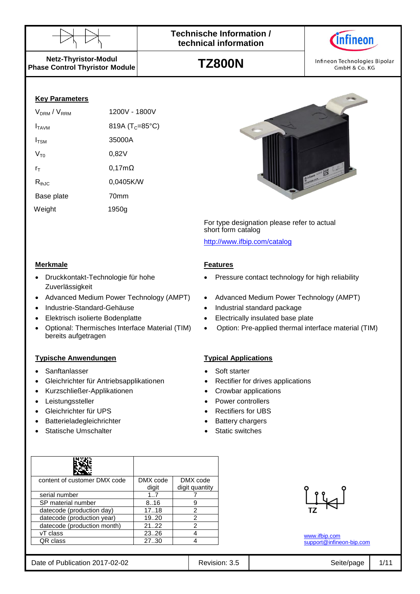



**Netz-Thyristor-Modul Phase Control Thyristor Module**

**TZ800N**



### **Key Parameters**

| V <sub>DRM</sub> / V <sub>RRM</sub> | 1200V - 1800V               |
|-------------------------------------|-----------------------------|
| <b>I</b> TAVM                       | 819A (T <sub>C</sub> =85°C) |
| $I_{TSM}$                           | 35000A                      |
| $V_{\tau_0}$                        | 0,82V                       |
| rт                                  | $0,17m\Omega$               |
| $R_{th,IC}$                         | 0,0405K/W                   |
| Base plate                          | 70mm                        |
| Weight                              | 1950g                       |
|                                     |                             |

Druckkontakt-Technologie für hohe

Optional: Thermisches Interface Material (TIM)

Zuverlässigkeit

bereits aufgetragen



For type designation please refer to actual short form catalog

<http://www.ifbip.com/catalog>

### **Merkmale Features**

- Pressure contact technology for high reliability
- Advanced Medium Power Technology (AMPT) Advanced Medium Power Technology (AMPT)
- Industrie-Standard-Gehäuse Industrial standard package
- Elektrisch isolierte Bodenplatte **Electrically Electrically insulated base plate** 
	- Option: Pre-applied thermal interface material (TIM)

### **Typische Anwendungen Typical Applications**

- Sanftanlasser Soft starter
	- Gleichrichter für Antriebsapplikationen **•** Rectifier for drives applications
- Kurzschließer-Applikationen Crowbar applications
- Leistungssteller **Controllers Power controllers** 
	- Gleichrichter für UPS **and Schware** Rectifiers for UBS
	- Batterieladegleichrichter **Battery chargers**
	- Statische Umschalter **Static Static Static switches**

| content of customer DMX code | DMX code | DMX code       |
|------------------------------|----------|----------------|
|                              | digit    | digit quantity |
| serial number                | 1.7      |                |
| SP material number           | 8.16     | 9              |
| datecode (production day)    | 17.18    | 2              |
| datecode (production year)   | 19.20    | 2              |
| datecode (production month)  | 2122     | 2              |
| vT class                     | 2326     |                |
| QR class                     | 27.30    |                |
|                              |          |                |

| پ |  |
|---|--|
|   |  |

[www.ifbip.com](http://www.ifbip.com/) [support@infineon-bip.com](mailto:support@infineon-bip.com)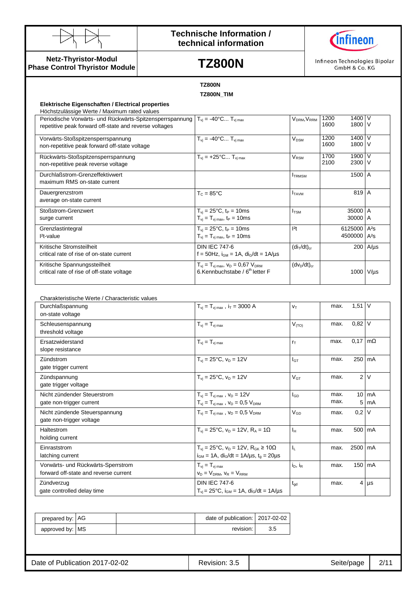



**Netz-Thyristor-Modul Phase Control Thyristor Module**

## **TZ800N**

Infineon Technologies Bipolar GmbH & Co. KG

|                                                                                                                                                                                                                | <b>TZ800N</b>                                                                                                                     |                                     |                    |                    |                          |
|----------------------------------------------------------------------------------------------------------------------------------------------------------------------------------------------------------------|-----------------------------------------------------------------------------------------------------------------------------------|-------------------------------------|--------------------|--------------------|--------------------------|
| Elektrische Eigenschaften / Electrical properties                                                                                                                                                              | <b>TZ800N TIM</b>                                                                                                                 |                                     |                    |                    |                          |
| Höchstzulässige Werte / Maximum rated values<br>Periodische Vorwärts- und Rückwärts-Spitzensperrspannung $T_{vi} = -40^{\circ}$ C T <sub>vimax</sub><br>repetitive peak forward off-state and reverse voltages |                                                                                                                                   | V <sub>DRM</sub> , V <sub>RRM</sub> | 1200<br>1600       | 1400 V<br>1800 V   |                          |
| Vorwärts-Stoßspitzensperrspannung<br>non-repetitive peak forward off-state voltage                                                                                                                             | $T_{vi} = -40^{\circ}C T_{vi max}$                                                                                                | $\mathsf{V}_\mathsf{DSM}$           | 1200<br>1600       | $1400$ V<br>1800 V |                          |
| Rückwärts-Stoßspitzensperrspannung<br>non-repetitive peak reverse voltage                                                                                                                                      | $T_{vi}$ = +25°C $T_{vi max}$                                                                                                     | $\rm V_{\rm RSM}$                   | 1700<br>2100       | 1900 V<br>2300 V   |                          |
| Durchlaßstrom-Grenzeffektivwert<br>maximum RMS on-state current                                                                                                                                                |                                                                                                                                   | <b>ITRMSM</b>                       |                    | 1500 A             |                          |
| Dauergrenzstrom<br>average on-state current                                                                                                                                                                    | $T_c = 85^{\circ}$ C                                                                                                              | <b>I</b> TAVM                       |                    | 819 A              |                          |
| Stoßstrom-Grenzwert<br>surge current                                                                                                                                                                           | $T_{\rm vj} = 25^{\circ}C, t_{\rm P} = 10 \text{ms}$<br>$T_{vj} = T_{vj \max}$ , $t_P = 10 \text{ms}$                             | $I_{TSM}$                           |                    | 35000 A<br>30000 A |                          |
| Grenzlastintegral<br>l <sup>2</sup> t-value                                                                                                                                                                    | $T_{vi} = 25^{\circ}C$ , t <sub>P</sub> = 10ms<br>$T_{vj} = T_{vj \, max}$ , $t_P = 10 \, \text{ms}$                              | 2t                                  | 6125000<br>4500000 |                    | $A^2S$<br>$A^2S$         |
| Kritische Stromsteilheit<br>critical rate of rise of on-state current                                                                                                                                          | <b>DIN IEC 747-6</b><br>$f = 50$ Hz, $i_{GM} = 1$ A, di <sub>G</sub> /dt = $1$ A/µs                                               | $(di_T/dt)_{cr}$                    |                    |                    | 200 $A/\mu s$            |
| Kritische Spannungssteilheit<br>critical rate of rise of off-state voltage                                                                                                                                     | $T_{vj} = T_{vj \, max}$ , $V_D = 0.67 V_{DRM}$<br>6.Kennbuchstabe / 6 <sup>th</sup> letter F                                     | $(dv_D/dt)_{cr}$                    |                    |                    | $1000$ V/us              |
| Charakteristische Werte / Characteristic values                                                                                                                                                                |                                                                                                                                   |                                     |                    |                    |                          |
| Durchlaßspannung<br>on-state voltage                                                                                                                                                                           | $T_{\rm vj} = T_{\rm vj \, max}$ , $i_T = 3000$ A                                                                                 | $V_T$                               | max.               | $1,51$ V           |                          |
| Schleusenspannung<br>threshold voltage                                                                                                                                                                         | $T_{vi} = T_{vi \, max}$                                                                                                          | $V_{(TO)}$                          | max.               | $0,82$ V           |                          |
| Ersatzwiderstand<br>slope resistance                                                                                                                                                                           | $T_{\nu j} = T_{\nu j \text{ max}}$                                                                                               | $r_T$                               | max.               |                    | $0,17 \, \text{m}\Omega$ |
| Zündstrom<br>gate trigger current                                                                                                                                                                              | $T_{vi} = 25^{\circ}C$ , $v_D = 12V$                                                                                              | $I_{GT}$                            | max.               |                    | 250 mA                   |
| Zündspannung<br>gate trigger voltage                                                                                                                                                                           | $T_{vi} = 25^{\circ}C$ , $v_D = 12V$                                                                                              | $V_{GT}$                            | max.               |                    | 2 <sup>1</sup>           |
| Nicht zündender Steuerstrom<br>gate non-trigger current                                                                                                                                                        | $T_{vj} = T_{vj \, max}$ , $v_D = 12V$<br>$T_{vj} = T_{vj \max}$ , $v_D = 0.5 V_{DRM}$                                            | $\mathsf{I}_{\mathsf{GD}}$          | max.<br>max.       | 5 <sup>5</sup>     | 10 mA<br>mA              |
| Nicht zündende Steuerspannung<br>gate non-trigger voltage                                                                                                                                                      | $T_{\rm vj} = T_{\rm vj \, max}$ , $v_D = 0.5$ $V_{DRM}$                                                                          | $V_{GD}$                            | max.               | $0,2 \forall$      |                          |
| Haltestrom<br>holding current                                                                                                                                                                                  | $T_{vi} = 25^{\circ}C$ , $v_D = 12V$ , $R_A = 1\Omega$                                                                            | $\mathsf{I}_{\mathsf{H}}$           | max.               |                    | 500 mA                   |
| Einraststrom<br>latching current                                                                                                                                                                               | $T_{vi} = 25^{\circ}C$ , $v_D = 12V$ , $R_{GK} \ge 10\Omega$<br>$i_{GM}$ = 1A, di <sub>G</sub> /dt = 1A/µs, t <sub>g</sub> = 20µs | $\mathsf{I}_\mathsf{L}$             | max.               |                    | 2500 mA                  |
| Vorwärts- und Rückwärts-Sperrstrom<br>forward off-state and reverse current                                                                                                                                    | $T_{vi} = T_{vi \, max}$<br>$V_D = V_{DRM}$ , $V_R = V_{RRM}$                                                                     | $i_D$ , $i_R$                       | max.               |                    | 150 mA                   |
| Zündverzug<br>gate controlled delay time                                                                                                                                                                       | <b>DIN IEC 747-6</b><br>$T_{\rm{vj}} = 25^{\circ}C$ , $i_{\rm{GM}} = 1A$ , $di_{\rm{G}}/dt = 1A/\mu s$                            | $t_{\rm gd}$                        | max.               |                    | $4 \mu s$                |

| prepared by: AG |  | date of publication:   2017-02-02 |  |
|-----------------|--|-----------------------------------|--|
| approved by: MS |  | revision:                         |  |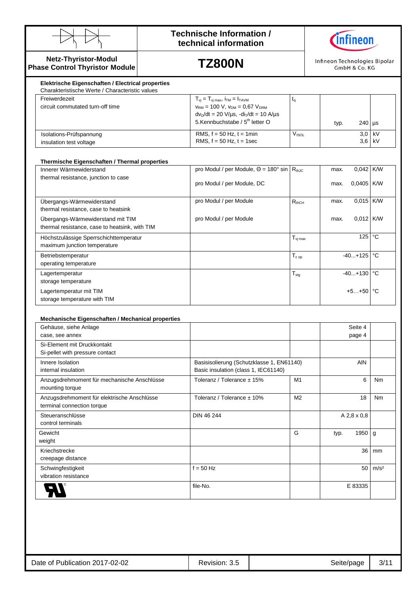



### **Netz-Thyristor-Modul Phase Control Thyristor Module**

# **TZ800N**

Infineon Technologies Bipolar GmbH & Co. KG

| Freiwerdezeit                                      | $T_{vi} = T_{vi \text{ max}}$ , $i_{TM} = I_{TAVM}$                                                                                         |                   |      |                    |  |
|----------------------------------------------------|---------------------------------------------------------------------------------------------------------------------------------------------|-------------------|------|--------------------|--|
| circuit commutated turn-off time                   | $V_{RM}$ = 100 V, $V_{DM}$ = 0,67 $V_{DRM}$<br>$dvD/dt = 20 V/\mu s$ , $-diT/dt = 10 A/\mu s$<br>5.Kennbuchstabe / 5 <sup>th</sup> letter O |                   | typ. | $240$ µs           |  |
| Isolations-Prüfspannung<br>insulation test voltage | RMS, $f = 50$ Hz, $t = 1$ min<br>RMS, $f = 50$ Hz, $t = 1$ sec                                                                              | V <sub>ISOL</sub> |      | $3.0$ kV<br>3.6 kV |  |

| Thermische Eigenschaften / Thermal properties                                       |                                                                          |                                          |                       |              |
|-------------------------------------------------------------------------------------|--------------------------------------------------------------------------|------------------------------------------|-----------------------|--------------|
| Innerer Wärmewiderstand                                                             | pro Modul / per Module, $\Theta = 180^\circ$ sin $\vert R_{th,IC} \vert$ |                                          | 0,042<br>max.         | <b>K/W</b>   |
| thermal resistance, junction to case                                                | pro Modul / per Module, DC                                               |                                          | $0.0405$ K/W<br>max.  |              |
| Ubergangs-Wärmewiderstand<br>thermal resistance, case to heatsink                   | pro Modul / per Module                                                   | $R_{thCH}$                               | 0,015 K/W<br>max.     |              |
| Übergangs-Wärmewiderstand mit TIM<br>thermal resistance, case to heatsink, with TIM | pro Modul / per Module                                                   |                                          | $0.012$ K/W<br>max.   |              |
| Höchstzulässige Sperrschichttemperatur<br>maximum junction temperature              |                                                                          | $\mathsf{T}_{\mathsf{vi}\,\mathsf{max}}$ | 125                   | $^{\circ}$ C |
| Betriebstemperatur<br>operating temperature                                         |                                                                          | $\mathsf{T_{c\,op}}$                     | $-40+125$ $\degree$ C |              |
| Lagertemperatur<br>storage temperature                                              |                                                                          | $T_{\text{stg}}$                         | $-40+130$ °C          |              |
| Lagertemperatur mit TIM<br>storage temperature with TIM                             |                                                                          |                                          | $+5+50$ $\degree$ C   |              |

| Mechanische Eigenschaften / Mechanical properties |
|---------------------------------------------------|
|---------------------------------------------------|

| Gehäuse, siehe Anlage                                                     |                                           |                |      | Seite 4     |                  |
|---------------------------------------------------------------------------|-------------------------------------------|----------------|------|-------------|------------------|
| case, see annex                                                           |                                           |                |      | page 4      |                  |
| Si-Element mit Druckkontakt                                               |                                           |                |      |             |                  |
| Si-pellet with pressure contact                                           |                                           |                |      |             |                  |
| Innere Isolation                                                          | Basisisolierung (Schutzklasse 1, EN61140) |                |      | <b>AIN</b>  |                  |
| internal insulation                                                       | Basic insulation (class 1, IEC61140)      |                |      |             |                  |
| Anzugsdrehmoment für mechanische Anschlüsse<br>mounting torque            | Toleranz / Tolerance $\pm$ 15%            | M1             |      | 6           | N <sub>m</sub>   |
| Anzugsdrehmoment für elektrische Anschlüsse<br>terminal connection torque | Toleranz / Tolerance $\pm$ 10%            | M <sub>2</sub> |      | 18          | <b>Nm</b>        |
| Steueranschlüsse<br>control terminals                                     | DIN 46 244                                |                |      | A 2,8 x 0,8 |                  |
| Gewicht                                                                   |                                           | G              | typ. | 1950        | $\mathsf{q}$     |
| weight                                                                    |                                           |                |      |             |                  |
| Kriechstrecke                                                             |                                           |                |      | 36          | mm               |
| creepage distance                                                         |                                           |                |      |             |                  |
| Schwingfestigkeit                                                         | $f = 50$ Hz                               |                |      | 50          | m/s <sup>2</sup> |
| vibration resistance                                                      |                                           |                |      |             |                  |
|                                                                           | file-No.                                  |                |      | E 83335     |                  |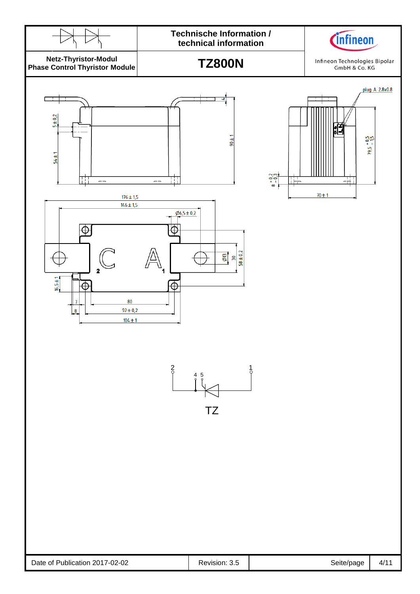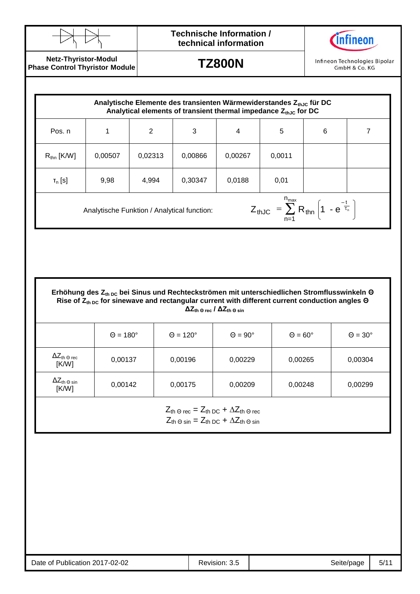



**Netz-Thyristor-Modul Phase Control Thyristor Module**

**TZ800N**

Infineon Technologies Bipolar GmbH & Co. KG

| Pos. n                                                                                                                            |         | 2       | 3       | $\overline{4}$ | 5      | $6\phantom{1}6$ |  |
|-----------------------------------------------------------------------------------------------------------------------------------|---------|---------|---------|----------------|--------|-----------------|--|
| $R_{\text{thn}}$ [K/W]                                                                                                            | 0,00507 | 0,02313 | 0,00866 | 0,00267        | 0,0011 |                 |  |
| $T_n$ [S]                                                                                                                         | 9,98    | 4,994   | 0,30347 | 0,0188         | 0,01   |                 |  |
| $Z_{thJC} = \sum_{n=1}^{n_{max}} R_{thn} \left( 1 - e^{\frac{-t}{\tau_n}} \right)$<br>Analytische Funktion / Analytical function: |         |         |         |                |        |                 |  |

**Erhöhung des Zth DC bei Sinus und Rechteckströmen mit unterschiedlichen Stromflusswinkeln Θ Rise of Zth DC for sinewave and rectangular current with different current conduction angles Θ ΔZth Θ rec / ΔZth Θ sin**

|                                                       | $\Theta = 180^\circ$ | $\Theta = 120^\circ$ | $\Theta = 90^\circ$ | $\Theta = 60^\circ$ | $\Theta = 30^\circ$ |
|-------------------------------------------------------|----------------------|----------------------|---------------------|---------------------|---------------------|
| $\Delta Z_{\text{th} \,\odot \, \text{rec}}$<br>[K/W] | 0,00137              | 0,00196              | 0,00229             | 0,00265             | 0,00304             |
| $\Delta Z_{\text{th}}$ $_{\odot}$ sin<br>[K/W]        | 0,00142              | 0,00175              | 0,00209             | 0,00248             | 0,00299             |

 $Z_{\text{th}} \odot \text{rec} = Z_{\text{th DC}} + \Delta Z_{\text{th}} \odot \text{rec}$  $Z_{th\,\Theta\,\text{sin}} = Z_{th\,\text{DC}} + \Delta Z_{th\,\Theta\,\text{sin}}$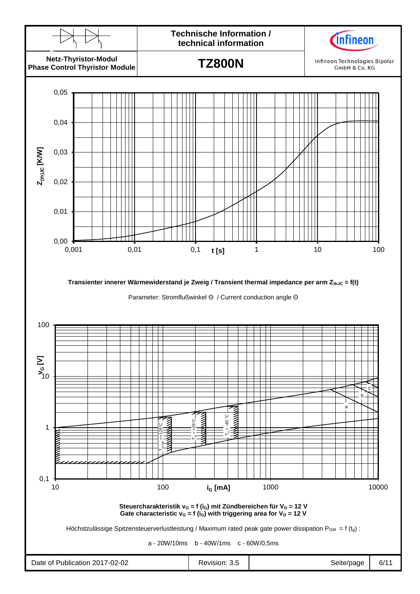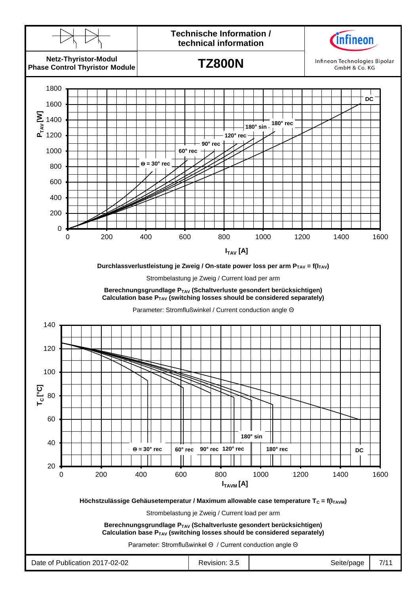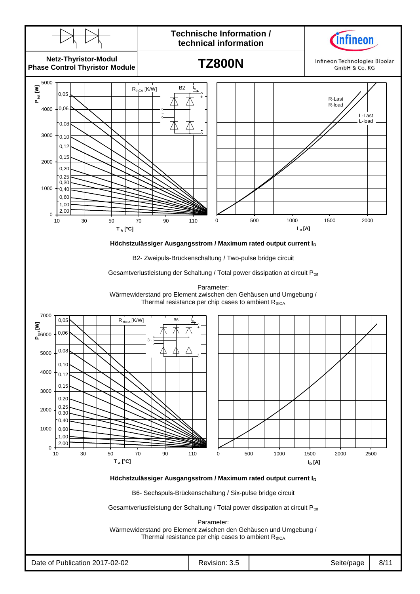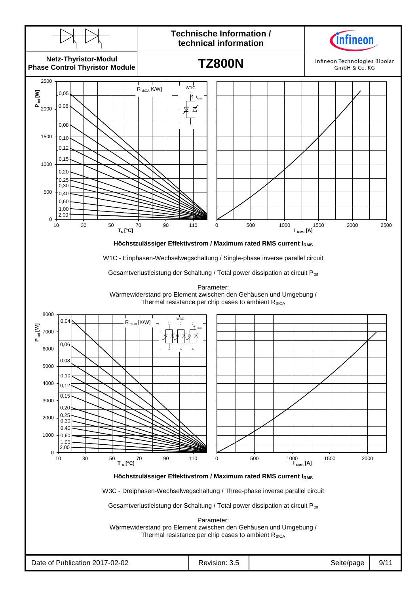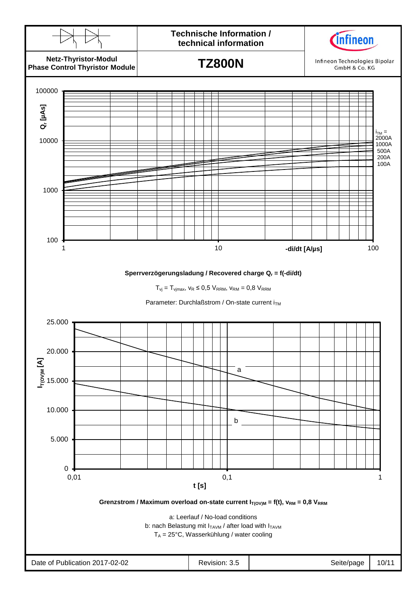